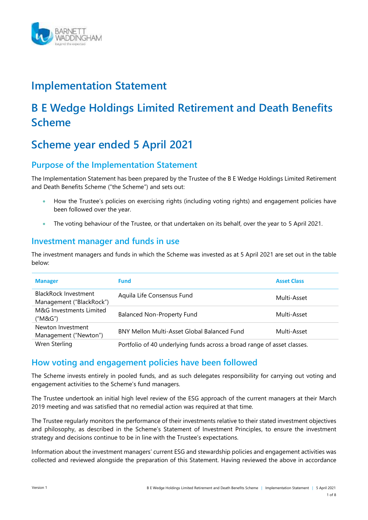

## **Implementation Statement**

# **B E Wedge Holdings Limited Retirement and Death Benefits Scheme**

# **Scheme year ended 5 April 2021**

## **Purpose of the Implementation Statement**

The Implementation Statement has been prepared by the Trustee of the B E Wedge Holdings Limited Retirement and Death Benefits Scheme ("the Scheme") and sets out:

- How the Trustee's policies on exercising rights (including voting rights) and engagement policies have been followed over the year.
- The voting behaviour of the Trustee, or that undertaken on its behalf, over the year to 5 April 2021.

## **Investment manager and funds in use**

The investment managers and funds in which the Scheme was invested as at 5 April 2021 are set out in the table below:

| <b>Manager</b>                                   | <b>Fund</b>                                                             | <b>Asset Class</b> |
|--------------------------------------------------|-------------------------------------------------------------------------|--------------------|
| BlackRock Investment<br>Management ("BlackRock") | Aquila Life Consensus Fund                                              | Multi-Asset        |
| M&G Investments Limited<br>("M&G")               | <b>Balanced Non-Property Fund</b>                                       | Multi-Asset        |
| Newton Investment<br>Management ("Newton")       | <b>BNY Mellon Multi-Asset Global Balanced Fund</b>                      | Multi-Asset        |
| Wren Sterling                                    | Portfolio of 40 underlying funds across a broad range of asset classes. |                    |

## **How voting and engagement policies have been followed**

The Scheme invests entirely in pooled funds, and as such delegates responsibility for carrying out voting and engagement activities to the Scheme's fund managers.

The Trustee undertook an initial high level review of the ESG approach of the current managers at their March 2019 meeting and was satisfied that no remedial action was required at that time.

The Trustee regularly monitors the performance of their investments relative to their stated investment objectives and philosophy, as described in the Scheme's Statement of Investment Principles, to ensure the investment strategy and decisions continue to be in line with the Trustee's expectations.

Information about the investment managers' current ESG and stewardship policies and engagement activities was collected and reviewed alongside the preparation of this Statement. Having reviewed the above in accordance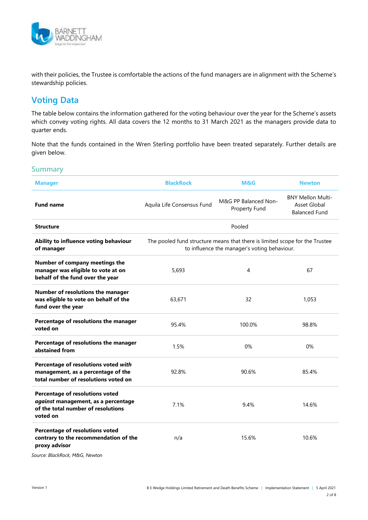

with their policies, the Trustee is comfortable the actions of the fund managers are in alignment with the Scheme's stewardship policies.

## **Voting Data**

The table below contains the information gathered for the voting behaviour over the year for the Scheme's assets which convey voting rights. All data covers the 12 months to 31 March 2021 as the managers provide data to quarter ends.

Note that the funds contained in the Wren Sterling portfolio have been treated separately. Further details are given below.

### **Summary**

| <b>Manager</b>                                                                                                           | <b>BlackRock</b>                                                                                                            | <b>M&amp;G</b>                        | <b>Newton</b>                                                    |
|--------------------------------------------------------------------------------------------------------------------------|-----------------------------------------------------------------------------------------------------------------------------|---------------------------------------|------------------------------------------------------------------|
| <b>Fund name</b>                                                                                                         | Aquila Life Consensus Fund                                                                                                  | M&G PP Balanced Non-<br>Property Fund | <b>BNY Mellon Multi-</b><br>Asset Global<br><b>Balanced Fund</b> |
| <b>Structure</b>                                                                                                         |                                                                                                                             | Pooled                                |                                                                  |
| Ability to influence voting behaviour<br>of manager                                                                      | The pooled fund structure means that there is limited scope for the Trustee<br>to influence the manager's voting behaviour. |                                       |                                                                  |
| Number of company meetings the<br>manager was eligible to vote at on<br>behalf of the fund over the year                 | 5,693                                                                                                                       | 4                                     | 67                                                               |
| Number of resolutions the manager<br>was eligible to vote on behalf of the<br>fund over the year                         | 63,671                                                                                                                      | 32                                    | 1,053                                                            |
| Percentage of resolutions the manager<br>voted on                                                                        | 95.4%                                                                                                                       | 100.0%                                | 98.8%                                                            |
| Percentage of resolutions the manager<br>abstained from                                                                  | 1.5%                                                                                                                        | 0%                                    | 0%                                                               |
| Percentage of resolutions voted with<br>management, as a percentage of the<br>total number of resolutions voted on       | 92.8%                                                                                                                       | 90.6%                                 | 85.4%                                                            |
| Percentage of resolutions voted<br>against management, as a percentage<br>of the total number of resolutions<br>voted on | 7.1%                                                                                                                        | 9.4%                                  | 14.6%                                                            |
| Percentage of resolutions voted<br>contrary to the recommendation of the<br>proxy advisor                                | n/a                                                                                                                         | 15.6%                                 | 10.6%                                                            |

*Source: BlackRock, M&G, Newton*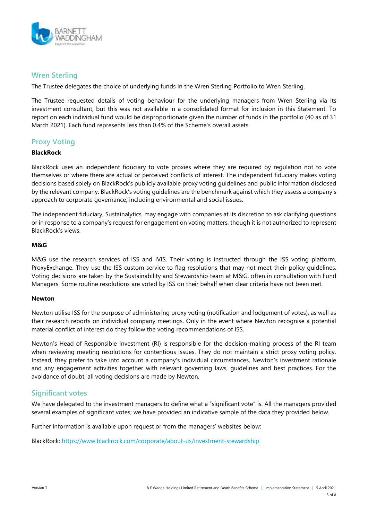

## **Wren Sterling**

The Trustee delegates the choice of underlying funds in the Wren Sterling Portfolio to Wren Sterling.

The Trustee requested details of voting behaviour for the underlying managers from Wren Sterling via its investment consultant, but this was not available in a consolidated format for inclusion in this Statement. To report on each individual fund would be disproportionate given the number of funds in the portfolio (40 as of 31 March 2021). Each fund represents less than 0.4% of the Scheme's overall assets.

## **Proxy Voting**

#### **BlackRock**

BlackRock uses an independent fiduciary to vote proxies where they are required by regulation not to vote themselves or where there are actual or perceived conflicts of interest. The independent fiduciary makes voting decisions based solely on BlackRock's publicly available proxy voting guidelines and public information disclosed by the relevant company. BlackRock's voting guidelines are the benchmark against which they assess a company's approach to corporate governance, including environmental and social issues.

The independent fiduciary, Sustainalytics, may engage with companies at its discretion to ask clarifying questions or in response to a company's request for engagement on voting matters, though it is not authorized to represent BlackRock's views.

#### **M&G**

M&G use the research services of ISS and IVIS. Their voting is instructed through the ISS voting platform, ProxyExchange. They use the ISS custom service to flag resolutions that may not meet their policy guidelines. Voting decisions are taken by the Sustainability and Stewardship team at M&G, often in consultation with Fund Managers. Some routine resolutions are voted by ISS on their behalf when clear criteria have not been met.

#### **Newton**

Newton utilise ISS for the purpose of administering proxy voting (notification and lodgement of votes), as well as their research reports on individual company meetings. Only in the event where Newton recognise a potential material conflict of interest do they follow the voting recommendations of ISS.

Newton's Head of Responsible Investment (RI) is responsible for the decision-making process of the RI team when reviewing meeting resolutions for contentious issues. They do not maintain a strict proxy voting policy. Instead, they prefer to take into account a company's individual circumstances, Newton's investment rationale and any engagement activities together with relevant governing laws, guidelines and best practices. For the avoidance of doubt, all voting decisions are made by Newton.

## **Significant votes**

We have delegated to the investment managers to define what a "significant vote" is. All the managers provided several examples of significant votes; we have provided an indicative sample of the data they provided below.

Further information is available upon request or from the managers' websites below:

BlackRock:<https://www.blackrock.com/corporate/about-us/investment-stewardship>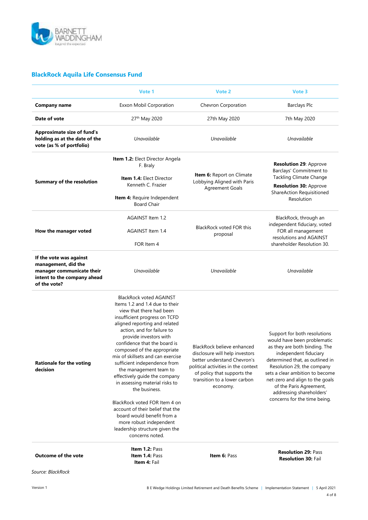

## **BlackRock Aquila Life Consensus Fund**

|                                                                                                                            | Vote 1                                                                                                                                                                                                                                                                                                                                                                                                                                                                                                                                                                                                                                                      | Vote 2                                                                                                                                                                                                        | Vote 3                                                                                                                                                                                                                                                                                                                                              |
|----------------------------------------------------------------------------------------------------------------------------|-------------------------------------------------------------------------------------------------------------------------------------------------------------------------------------------------------------------------------------------------------------------------------------------------------------------------------------------------------------------------------------------------------------------------------------------------------------------------------------------------------------------------------------------------------------------------------------------------------------------------------------------------------------|---------------------------------------------------------------------------------------------------------------------------------------------------------------------------------------------------------------|-----------------------------------------------------------------------------------------------------------------------------------------------------------------------------------------------------------------------------------------------------------------------------------------------------------------------------------------------------|
| <b>Company name</b>                                                                                                        | Exxon Mobil Corporation                                                                                                                                                                                                                                                                                                                                                                                                                                                                                                                                                                                                                                     | Chevron Corporation                                                                                                                                                                                           | <b>Barclays Plc</b>                                                                                                                                                                                                                                                                                                                                 |
| Date of vote                                                                                                               | 27th May 2020                                                                                                                                                                                                                                                                                                                                                                                                                                                                                                                                                                                                                                               | 27th May 2020                                                                                                                                                                                                 | 7th May 2020                                                                                                                                                                                                                                                                                                                                        |
| <b>Approximate size of fund's</b><br>holding as at the date of the<br>vote (as % of portfolio)                             | Unavailable                                                                                                                                                                                                                                                                                                                                                                                                                                                                                                                                                                                                                                                 | Unavailable                                                                                                                                                                                                   | Unavailable                                                                                                                                                                                                                                                                                                                                         |
| <b>Summary of the resolution</b>                                                                                           | Item 1.2: Elect Director Angela<br>F. Braly<br><b>Item 1.4: Elect Director</b><br>Kenneth C. Frazier<br><b>Item 4: Require Independent</b><br><b>Board Chair</b>                                                                                                                                                                                                                                                                                                                                                                                                                                                                                            | Item 6: Report on Climate<br>Lobbying Aligned with Paris<br><b>Agreement Goals</b>                                                                                                                            | <b>Resolution 29: Approve</b><br>Barclays' Commitment to<br><b>Tackling Climate Change</b><br><b>Resolution 30: Approve</b><br>ShareAction Requisitioned<br>Resolution                                                                                                                                                                              |
| How the manager voted                                                                                                      | AGAINST Item 1.2<br>AGAINST Item 1.4<br>FOR Item 4                                                                                                                                                                                                                                                                                                                                                                                                                                                                                                                                                                                                          | <b>BlackRock voted FOR this</b><br>proposal                                                                                                                                                                   | BlackRock, through an<br>independent fiduciary, voted<br>FOR all management<br>resolutions and AGAINST<br>shareholder Resolution 30.                                                                                                                                                                                                                |
| If the vote was against<br>management, did the<br>manager communicate their<br>intent to the company ahead<br>of the vote? | Unavailable                                                                                                                                                                                                                                                                                                                                                                                                                                                                                                                                                                                                                                                 | Unavailable                                                                                                                                                                                                   | Unavailable                                                                                                                                                                                                                                                                                                                                         |
| <b>Rationale for the voting</b><br>decision                                                                                | <b>BlackRock voted AGAINST</b><br>Items 1.2 and 1.4 due to their<br>view that there had been<br>insufficient progress on TCFD<br>aligned reporting and related<br>action, and for failure to<br>provide investors with<br>confidence that the board is<br>composed of the appropriate<br>mix of skillsets and can exercise<br>sufficient independence from<br>the management team to<br>effectively guide the company<br>in assessing material risks to<br>the business.<br>BlackRock voted FOR Item 4 on<br>account of their belief that the<br>board would benefit from a<br>more robust independent<br>leadership structure given the<br>concerns noted. | BlackRock believe enhanced<br>disclosure will help investors<br>better understand Chevron's<br>political activities in the context<br>of policy that supports the<br>transition to a lower carbon<br>economy. | Support for both resolutions<br>would have been problematic<br>as they are both binding. The<br>independent fiduciary<br>determined that, as outlined in<br>Resolution 29, the company<br>sets a clear ambition to become<br>net-zero and align to the goals<br>of the Paris Agreement,<br>addressing shareholders'<br>concerns for the time being. |
| <b>Outcome of the vote</b>                                                                                                 | <b>Item 1.2: Pass</b><br><b>Item 1.4: Pass</b><br>Item 4: Fail                                                                                                                                                                                                                                                                                                                                                                                                                                                                                                                                                                                              | <b>Item 6: Pass</b>                                                                                                                                                                                           | <b>Resolution 29: Pass</b><br><b>Resolution 30: Fail</b>                                                                                                                                                                                                                                                                                            |
| Source: BlackRock                                                                                                          |                                                                                                                                                                                                                                                                                                                                                                                                                                                                                                                                                                                                                                                             |                                                                                                                                                                                                               |                                                                                                                                                                                                                                                                                                                                                     |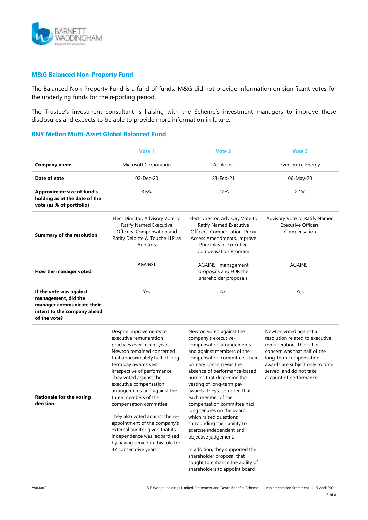

#### **M&G Balanced Non-Property Fund**

The Balanced Non-Property Fund is a fund of funds. M&G did not provide information on significant votes for the underlying funds for the reporting period.

The Trustee's investment consultant is liaising with the Scheme's investment managers to improve these disclosures and expects to be able to provide more information in future.

#### **BNY Mellon Multi-Asset Global Balanced Fund**

|                                                                                                                            | Vote 1                                                                                                                                                                                                                                                                                                                                                                                                                                                                                                                                                | Vote 2                                                                                                                                                                                                                                                                                                                                                                                                                                                                                                                                                                                                                                 | Vote 3                                                                                                                                                                                                                                    |
|----------------------------------------------------------------------------------------------------------------------------|-------------------------------------------------------------------------------------------------------------------------------------------------------------------------------------------------------------------------------------------------------------------------------------------------------------------------------------------------------------------------------------------------------------------------------------------------------------------------------------------------------------------------------------------------------|----------------------------------------------------------------------------------------------------------------------------------------------------------------------------------------------------------------------------------------------------------------------------------------------------------------------------------------------------------------------------------------------------------------------------------------------------------------------------------------------------------------------------------------------------------------------------------------------------------------------------------------|-------------------------------------------------------------------------------------------------------------------------------------------------------------------------------------------------------------------------------------------|
| <b>Company name</b>                                                                                                        | Microsoft Corporation                                                                                                                                                                                                                                                                                                                                                                                                                                                                                                                                 | Apple Inc                                                                                                                                                                                                                                                                                                                                                                                                                                                                                                                                                                                                                              | <b>Eversource Energy</b>                                                                                                                                                                                                                  |
| Date of vote                                                                                                               | 02-Dec-20                                                                                                                                                                                                                                                                                                                                                                                                                                                                                                                                             | 23-Feb-21                                                                                                                                                                                                                                                                                                                                                                                                                                                                                                                                                                                                                              | 06-May-20                                                                                                                                                                                                                                 |
| <b>Approximate size of fund's</b><br>holding as at the date of the<br>vote (as % of portfolio)                             | 3.6%                                                                                                                                                                                                                                                                                                                                                                                                                                                                                                                                                  | 2.2%                                                                                                                                                                                                                                                                                                                                                                                                                                                                                                                                                                                                                                   | 2.1%                                                                                                                                                                                                                                      |
| <b>Summary of the resolution</b>                                                                                           | Elect Director, Advisory Vote to<br>Ratify Named Executive<br>Officers' Compensation and<br>Ratify Deloitte & Touche LLP as<br><b>Auditors</b>                                                                                                                                                                                                                                                                                                                                                                                                        | Elect Director, Advisory Vote to<br>Ratify Named Executive<br>Officers' Compensation, Proxy<br>Access Amendments, Improve<br>Principles of Executive<br><b>Compensation Program</b>                                                                                                                                                                                                                                                                                                                                                                                                                                                    | Advisory Vote to Ratify Named<br><b>Executive Officers'</b><br>Compensation                                                                                                                                                               |
| How the manager voted                                                                                                      | <b>AGAINST</b>                                                                                                                                                                                                                                                                                                                                                                                                                                                                                                                                        | <b>AGAINST</b> management<br>proposals and FOR the<br>shareholder proposals                                                                                                                                                                                                                                                                                                                                                                                                                                                                                                                                                            | <b>AGAINST</b>                                                                                                                                                                                                                            |
| If the vote was against<br>management, did the<br>manager communicate their<br>intent to the company ahead<br>of the vote? | Yes                                                                                                                                                                                                                                                                                                                                                                                                                                                                                                                                                   | No                                                                                                                                                                                                                                                                                                                                                                                                                                                                                                                                                                                                                                     | Yes                                                                                                                                                                                                                                       |
| <b>Rationale for the voting</b><br>decision                                                                                | Despite improvements to<br>executive remuneration<br>practices over recent years,<br>Newton remained concerned<br>that approximately half of long-<br>term pay awards vest<br>irrespective of performance.<br>They voted against the<br>executive compensation<br>arrangements and against the<br>three members of the<br>compensation committee.<br>They also voted against the re-<br>appointment of the company's<br>external auditor given that its<br>independence was jeopardised<br>by having served in this role for<br>37 consecutive years. | Newton voted against the<br>company's executive-<br>compensation arrangements<br>and against members of the<br>compensation committee. Their<br>primary concern was the<br>absence of performance-based<br>hurdles that determine the<br>vesting of long-term pay<br>awards. They also noted that<br>each member of the<br>compensation committee had<br>long tenures on the board,<br>which raised questions<br>surrounding their ability to<br>exercise independent and<br>objective judgement.<br>In addition, they supported the<br>shareholder proposal that<br>sought to enhance the ability of<br>shareholders to appoint board | Newton voted against a<br>resolution related to executive<br>remuneration. Their chief<br>concern was that half of the<br>long-term compensation<br>awards are subject only to time<br>served, and do not take<br>account of performance. |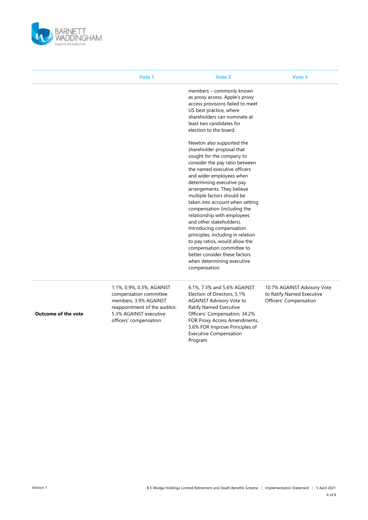

|                            | Vote 1                                                                                                                                                            | Vote 2                                                                                                                                                                                                                                                                                                                                                                                                                                                                                                                                                                                                                                                                                                                                                                                                                                     | Vote 3                                                                             |
|----------------------------|-------------------------------------------------------------------------------------------------------------------------------------------------------------------|--------------------------------------------------------------------------------------------------------------------------------------------------------------------------------------------------------------------------------------------------------------------------------------------------------------------------------------------------------------------------------------------------------------------------------------------------------------------------------------------------------------------------------------------------------------------------------------------------------------------------------------------------------------------------------------------------------------------------------------------------------------------------------------------------------------------------------------------|------------------------------------------------------------------------------------|
|                            |                                                                                                                                                                   | members - commonly known<br>as proxy access. Apple's proxy<br>access provisions failed to meet<br>US best practice, where<br>shareholders can nominate at<br>least two candidates for<br>election to the board.<br>Newton also supported the<br>shareholder proposal that<br>sought for the company to<br>consider the pay ratio between<br>the named executive officers<br>and wider employees when<br>determining executive pay<br>arrangements. They believe<br>multiple factors should be<br>taken into account when setting<br>compensation (including the<br>relationship with employees<br>and other stakeholders).<br>Introducing compensation<br>principles, including in relation<br>to pay ratios, would allow the<br>compensation committee to<br>better consider these factors<br>when determining executive<br>compensation. |                                                                                    |
| <b>Outcome of the vote</b> | 1.1%, 0.9%, 0.3%, AGAINST<br>compensation committee<br>members, 3.9% AGAINST<br>reappointment of the auditor,<br>5.3% AGAINST executive<br>officers' compensation | 6.1%, 7.3% and 5.6% AGAINST<br>Election of Directors, 5.1%<br><b>AGAINST Advisory Vote to</b><br>Ratify Named Executive<br>Officers' Compensation, 34.2%<br>FOR Proxy Access Amendments,<br>5.6% FOR Improve Principles of<br><b>Executive Compensation</b><br>Program                                                                                                                                                                                                                                                                                                                                                                                                                                                                                                                                                                     | 10.7% AGAINST Advisory Vote<br>to Ratify Named Executive<br>Officers' Compensation |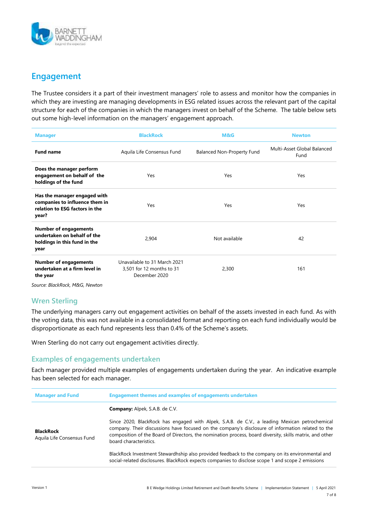

## **Engagement**

The Trustee considers it a part of their investment managers' role to assess and monitor how the companies in which they are investing are managing developments in ESG related issues across the relevant part of the capital structure for each of the companies in which the managers invest on behalf of the Scheme. The table below sets out some high-level information on the managers' engagement approach.

| <b>Manager</b>                                                                                            | <b>BlackRock</b>                                                           | M&G                        | <b>Newton</b>                       |
|-----------------------------------------------------------------------------------------------------------|----------------------------------------------------------------------------|----------------------------|-------------------------------------|
| <b>Fund name</b>                                                                                          | Aquila Life Consensus Fund                                                 | Balanced Non-Property Fund | Multi-Asset Global Balanced<br>Fund |
| Does the manager perform<br>engagement on behalf of the<br>holdings of the fund                           | Yes                                                                        | Yes                        | Yes                                 |
| Has the manager engaged with<br>companies to influence them in<br>relation to ESG factors in the<br>year? | Yes                                                                        | Yes                        | Yes                                 |
| <b>Number of engagements</b><br>undertaken on behalf of the<br>holdings in this fund in the<br>year       | 2,904                                                                      | Not available              | 42                                  |
| <b>Number of engagements</b><br>undertaken at a firm level in<br>the year                                 | Unavailable to 31 March 2021<br>3,501 for 12 months to 31<br>December 2020 | 2,300                      | 161                                 |
| Source: BlackRock, M&G, Newton                                                                            |                                                                            |                            |                                     |

## **Wren Sterling**

The underlying managers carry out engagement activities on behalf of the assets invested in each fund. As with the voting data, this was not available in a consolidated format and reporting on each fund individually would be disproportionate as each fund represents less than 0.4% of the Scheme's assets.

Wren Sterling do not carry out engagement activities directly.

### **Examples of engagements undertaken**

Each manager provided multiple examples of engagements undertaken during the year. An indicative example has been selected for each manager.

| <b>Manager and Fund</b>                        | <b>Engagement themes and examples of engagements undertaken</b>                                                                                                                                                                                                                                                                          |  |
|------------------------------------------------|------------------------------------------------------------------------------------------------------------------------------------------------------------------------------------------------------------------------------------------------------------------------------------------------------------------------------------------|--|
|                                                | <b>Company:</b> Alpek, S.A.B. de C.V.                                                                                                                                                                                                                                                                                                    |  |
| <b>BlackRock</b><br>Aquila Life Consensus Fund | Since 2020, BlackRock has engaged with Alpek, S.A.B. de C.V., a leading Mexican petrochemical<br>company. Their discussions have focused on the company's disclosure of information related to the<br>composition of the Board of Directors, the nomination process, board diversity, skills matrix, and other<br>board characteristics. |  |
|                                                | BlackRock Investment Stewardhship also provided feedback to the company on its environmental and<br>social-related disclosures. BlackRock expects companies to disclose scope 1 and scope 2 emissions                                                                                                                                    |  |